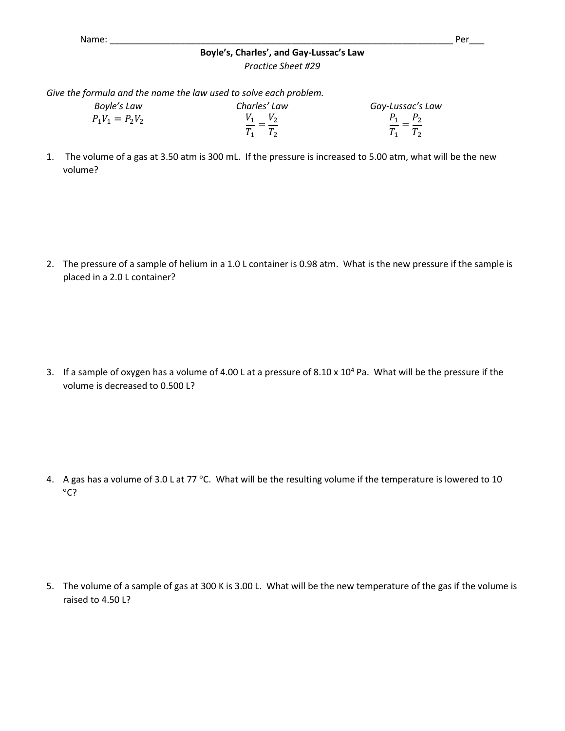## **Boyle's, Charles', and Gay-Lussac's Law** *Practice Sheet #29*

*Give the formula and the name the law used to solve each problem.*

| Boyle's Law       | Charles' Law          | Gay-Lussac's Law       |
|-------------------|-----------------------|------------------------|
| $P_1V_1 = P_2V_2$ | $V_1$ $V_2$<br>$-- -$ | $P_1$ $P_2$<br>__ _ __ |
|                   |                       | $T_1$ $T_2$            |

1. The volume of a gas at 3.50 atm is 300 mL. If the pressure is increased to 5.00 atm, what will be the new volume?

2. The pressure of a sample of helium in a 1.0 L container is 0.98 atm. What is the new pressure if the sample is placed in a 2.0 L container?

3. If a sample of oxygen has a volume of 4.00 L at a pressure of 8.10 x  $10^4$  Pa. What will be the pressure if the volume is decreased to 0.500 L?

4. A gas has a volume of 3.0 L at 77 °C. What will be the resulting volume if the temperature is lowered to 10 °C?

5. The volume of a sample of gas at 300 K is 3.00 L. What will be the new temperature of the gas if the volume is raised to 4.50 L?